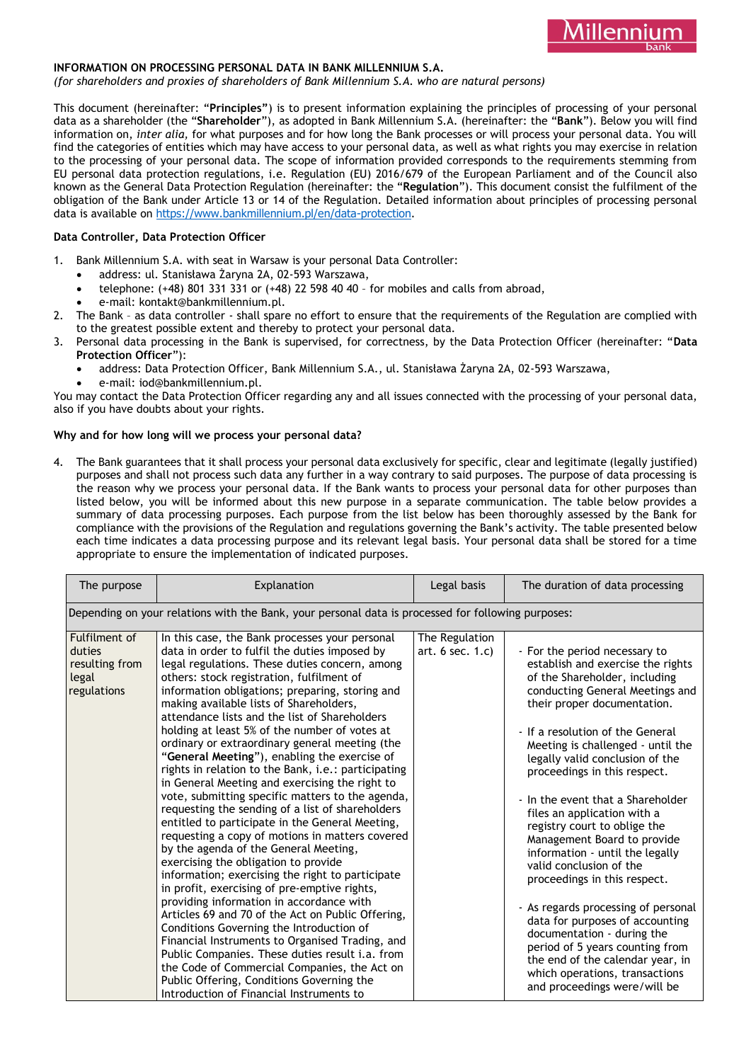

### **INFORMATION ON PROCESSING PERSONAL DATA IN BANK MILLENNIUM S.A.**

*(for shareholders and proxies of shareholders of Bank Millennium S.A. who are natural persons)*

This document (hereinafter: "**Principles"**) is to present information explaining the principles of processing of your personal data as a shareholder (the "**Shareholder**"), as adopted in Bank Millennium S.A. (hereinafter: the "**Bank**"). Below you will find information on, *inter alia,* for what purposes and for how long the Bank processes or will process your personal data. You will find the categories of entities which may have access to your personal data, as well as what rights you may exercise in relation to the processing of your personal data. The scope of information provided corresponds to the requirements stemming from EU personal data protection regulations, i.e. Regulation (EU) 2016/679 of the European Parliament and of the Council also known as the General Data Protection Regulation (hereinafter: the "**Regulation**"). This document consist the fulfilment of the obligation of the Bank under Article 13 or 14 of the Regulation. Detailed information about principles of processing personal data is available on [https://www.bankmillennium.pl/en/data-protection.](https://www.bankmillennium.pl/en/data-protection)

### **Data Controller, Data Protection Officer**

- 1. Bank Millennium S.A. with seat in Warsaw is your personal Data Controller:
	- address: ul. Stanisława Żaryna 2A, 02-593 Warszawa,
	- telephone: (+48) 801 331 331 or (+48) 22 598 40 40 for mobiles and calls from abroad,
	- e-mail: kontakt@bankmillennium.pl.
- 2. The Bank as data controller shall spare no effort to ensure that the requirements of the Regulation are complied with to the greatest possible extent and thereby to protect your personal data.
- 3. Personal data processing in the Bank is supervised, for correctness, by the Data Protection Officer (hereinafter: "**Data Protection Officer**"):
	- address: Data Protection Officer, Bank Millennium S.A., ul. Stanisława Żaryna 2A, 02-593 Warszawa,
	- e-mail: iod@bankmillennium.pl.

You may contact the Data Protection Officer regarding any and all issues connected with the processing of your personal data, also if you have doubts about your rights.

### **Why and for how long will we process your personal data?**

4. The Bank guarantees that it shall process your personal data exclusively for specific, clear and legitimate (legally justified) purposes and shall not process such data any further in a way contrary to said purposes. The purpose of data processing is the reason why we process your personal data. If the Bank wants to process your personal data for other purposes than listed below, you will be informed about this new purpose in a separate communication. The table below provides a summary of data processing purposes. Each purpose from the list below has been thoroughly assessed by the Bank for compliance with the provisions of the Regulation and regulations governing the Bank's activity. The table presented below each time indicates a data processing purpose and its relevant legal basis. Your personal data shall be stored for a time appropriate to ensure the implementation of indicated purposes.

| The purpose                                                                                        | Explanation                                                                                                                                                                                                                                                                                                                                                                                                                                                                                                                                                                                                                                                                                                                                                                                                                                                                                                                                                                                                                                                                                                                                                                                                                                                                                                                                                                                              | Legal basis                             | The duration of data processing                                                                                                                                                                                                                                                                                                                                                                                                                                                                                                                                                                                                                                                                                                                                                                     |  |  |
|----------------------------------------------------------------------------------------------------|----------------------------------------------------------------------------------------------------------------------------------------------------------------------------------------------------------------------------------------------------------------------------------------------------------------------------------------------------------------------------------------------------------------------------------------------------------------------------------------------------------------------------------------------------------------------------------------------------------------------------------------------------------------------------------------------------------------------------------------------------------------------------------------------------------------------------------------------------------------------------------------------------------------------------------------------------------------------------------------------------------------------------------------------------------------------------------------------------------------------------------------------------------------------------------------------------------------------------------------------------------------------------------------------------------------------------------------------------------------------------------------------------------|-----------------------------------------|-----------------------------------------------------------------------------------------------------------------------------------------------------------------------------------------------------------------------------------------------------------------------------------------------------------------------------------------------------------------------------------------------------------------------------------------------------------------------------------------------------------------------------------------------------------------------------------------------------------------------------------------------------------------------------------------------------------------------------------------------------------------------------------------------------|--|--|
| Depending on your relations with the Bank, your personal data is processed for following purposes: |                                                                                                                                                                                                                                                                                                                                                                                                                                                                                                                                                                                                                                                                                                                                                                                                                                                                                                                                                                                                                                                                                                                                                                                                                                                                                                                                                                                                          |                                         |                                                                                                                                                                                                                                                                                                                                                                                                                                                                                                                                                                                                                                                                                                                                                                                                     |  |  |
| Fulfilment of<br>duties<br>resulting from<br>legal<br>regulations                                  | In this case, the Bank processes your personal<br>data in order to fulfil the duties imposed by<br>legal regulations. These duties concern, among<br>others: stock registration, fulfilment of<br>information obligations; preparing, storing and<br>making available lists of Shareholders,<br>attendance lists and the list of Shareholders<br>holding at least 5% of the number of votes at<br>ordinary or extraordinary general meeting (the<br>"General Meeting"), enabling the exercise of<br>rights in relation to the Bank, i.e.: participating<br>in General Meeting and exercising the right to<br>vote, submitting specific matters to the agenda,<br>requesting the sending of a list of shareholders<br>entitled to participate in the General Meeting,<br>requesting a copy of motions in matters covered<br>by the agenda of the General Meeting,<br>exercising the obligation to provide<br>information; exercising the right to participate<br>in profit, exercising of pre-emptive rights,<br>providing information in accordance with<br>Articles 69 and 70 of the Act on Public Offering,<br>Conditions Governing the Introduction of<br>Financial Instruments to Organised Trading, and<br>Public Companies. These duties result i.a. from<br>the Code of Commercial Companies, the Act on<br>Public Offering, Conditions Governing the<br>Introduction of Financial Instruments to | The Regulation<br>art. $6$ sec. $1.c$ ) | - For the period necessary to<br>establish and exercise the rights<br>of the Shareholder, including<br>conducting General Meetings and<br>their proper documentation.<br>- If a resolution of the General<br>Meeting is challenged - until the<br>legally valid conclusion of the<br>proceedings in this respect.<br>- In the event that a Shareholder<br>files an application with a<br>registry court to oblige the<br>Management Board to provide<br>information - until the legally<br>valid conclusion of the<br>proceedings in this respect.<br>- As regards processing of personal<br>data for purposes of accounting<br>documentation - during the<br>period of 5 years counting from<br>the end of the calendar year, in<br>which operations, transactions<br>and proceedings were/will be |  |  |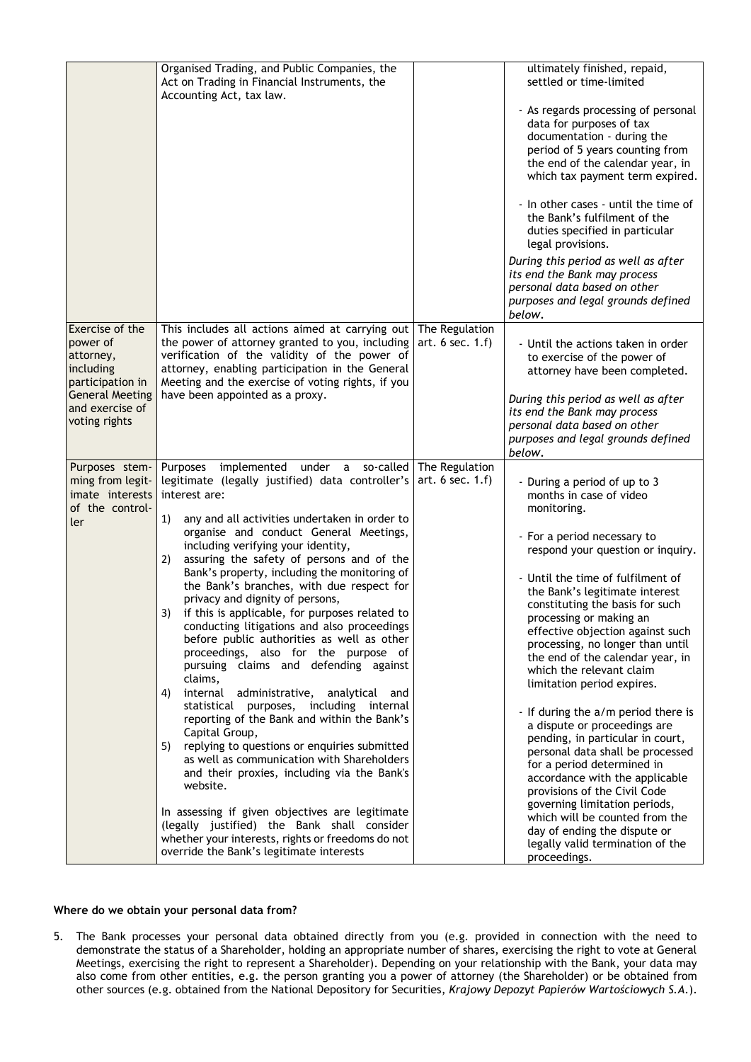|                                                                                                                                         | Organised Trading, and Public Companies, the<br>Act on Trading in Financial Instruments, the<br>Accounting Act, tax law.                                                                                                                                                                                                                                                                                                                                                                                                                                                                                                                                                                                                                                                                                                                                                                            |                                         | ultimately finished, repaid,<br>settled or time-limited                                                                                                                                                                                                            |
|-----------------------------------------------------------------------------------------------------------------------------------------|-----------------------------------------------------------------------------------------------------------------------------------------------------------------------------------------------------------------------------------------------------------------------------------------------------------------------------------------------------------------------------------------------------------------------------------------------------------------------------------------------------------------------------------------------------------------------------------------------------------------------------------------------------------------------------------------------------------------------------------------------------------------------------------------------------------------------------------------------------------------------------------------------------|-----------------------------------------|--------------------------------------------------------------------------------------------------------------------------------------------------------------------------------------------------------------------------------------------------------------------|
|                                                                                                                                         |                                                                                                                                                                                                                                                                                                                                                                                                                                                                                                                                                                                                                                                                                                                                                                                                                                                                                                     |                                         | - As regards processing of personal<br>data for purposes of tax<br>documentation - during the<br>period of 5 years counting from<br>the end of the calendar year, in<br>which tax payment term expired.                                                            |
|                                                                                                                                         |                                                                                                                                                                                                                                                                                                                                                                                                                                                                                                                                                                                                                                                                                                                                                                                                                                                                                                     |                                         | - In other cases - until the time of<br>the Bank's fulfilment of the<br>duties specified in particular<br>legal provisions.                                                                                                                                        |
|                                                                                                                                         |                                                                                                                                                                                                                                                                                                                                                                                                                                                                                                                                                                                                                                                                                                                                                                                                                                                                                                     |                                         | During this period as well as after<br>its end the Bank may process<br>personal data based on other<br>purposes and legal grounds defined<br>below.                                                                                                                |
| Exercise of the<br>power of<br>attorney,<br>including<br>participation in<br><b>General Meeting</b><br>and exercise of<br>voting rights | This includes all actions aimed at carrying out<br>the power of attorney granted to you, including<br>verification of the validity of the power of<br>attorney, enabling participation in the General<br>Meeting and the exercise of voting rights, if you<br>have been appointed as a proxy.                                                                                                                                                                                                                                                                                                                                                                                                                                                                                                                                                                                                       | The Regulation<br>art. $6$ sec. $1.f$ ) | - Until the actions taken in order<br>to exercise of the power of<br>attorney have been completed.<br>During this period as well as after                                                                                                                          |
|                                                                                                                                         |                                                                                                                                                                                                                                                                                                                                                                                                                                                                                                                                                                                                                                                                                                                                                                                                                                                                                                     |                                         | its end the Bank may process<br>personal data based on other<br>purposes and legal grounds defined<br>below.                                                                                                                                                       |
| Purposes stem-<br>ming from legit-<br>imate interests<br>of the control-<br>ler                                                         | Purposes implemented under a so-called The Regulation<br>legitimate (legally justified) data controller's<br>interest are:<br>any and all activities undertaken in order to<br>1)                                                                                                                                                                                                                                                                                                                                                                                                                                                                                                                                                                                                                                                                                                                   | art. $6$ sec. $1.f$ )                   | - During a period of up to 3<br>months in case of video<br>monitoring.                                                                                                                                                                                             |
|                                                                                                                                         | organise and conduct General Meetings,<br>including verifying your identity,<br>assuring the safety of persons and of the<br>2)<br>Bank's property, including the monitoring of<br>the Bank's branches, with due respect for<br>privacy and dignity of persons,<br>if this is applicable, for purposes related to<br>3)<br>conducting litigations and also proceedings<br>before public authorities as well as other<br>proceedings, also for the purpose of<br>pursuing claims and defending against<br>claims,<br>internal administrative, analytical<br>4)<br>and<br>statistical purposes, including internal<br>reporting of the Bank and within the Bank's<br>Capital Group,<br>replying to questions or enquiries submitted<br>5)<br>as well as communication with Shareholders<br>and their proxies, including via the Bank's<br>website.<br>In assessing if given objectives are legitimate |                                         | - For a period necessary to<br>respond your question or inquiry.<br>- Until the time of fulfilment of                                                                                                                                                              |
|                                                                                                                                         |                                                                                                                                                                                                                                                                                                                                                                                                                                                                                                                                                                                                                                                                                                                                                                                                                                                                                                     |                                         | the Bank's legitimate interest<br>constituting the basis for such<br>processing or making an<br>effective objection against such<br>processing, no longer than until<br>the end of the calendar year, in<br>which the relevant claim<br>limitation period expires. |
|                                                                                                                                         |                                                                                                                                                                                                                                                                                                                                                                                                                                                                                                                                                                                                                                                                                                                                                                                                                                                                                                     |                                         | - If during the a/m period there is<br>a dispute or proceedings are<br>pending, in particular in court,<br>personal data shall be processed                                                                                                                        |
|                                                                                                                                         |                                                                                                                                                                                                                                                                                                                                                                                                                                                                                                                                                                                                                                                                                                                                                                                                                                                                                                     |                                         | for a period determined in<br>accordance with the applicable<br>provisions of the Civil Code<br>governing limitation periods,                                                                                                                                      |
|                                                                                                                                         | (legally justified) the Bank shall consider<br>whether your interests, rights or freedoms do not<br>override the Bank's legitimate interests                                                                                                                                                                                                                                                                                                                                                                                                                                                                                                                                                                                                                                                                                                                                                        |                                         | which will be counted from the<br>day of ending the dispute or<br>legally valid termination of the<br>proceedings.                                                                                                                                                 |

# **Where do we obtain your personal data from?**

5. The Bank processes your personal data obtained directly from you (e.g. provided in connection with the need to demonstrate the status of a Shareholder, holding an appropriate number of shares, exercising the right to vote at General Meetings, exercising the right to represent a Shareholder). Depending on your relationship with the Bank, your data may also come from other entities, e.g. the person granting you a power of attorney (the Shareholder) or be obtained from other sources (e.g. obtained from the National Depository for Securities, *Krajowy Depozyt Papierów Wartościowych S.A*.).